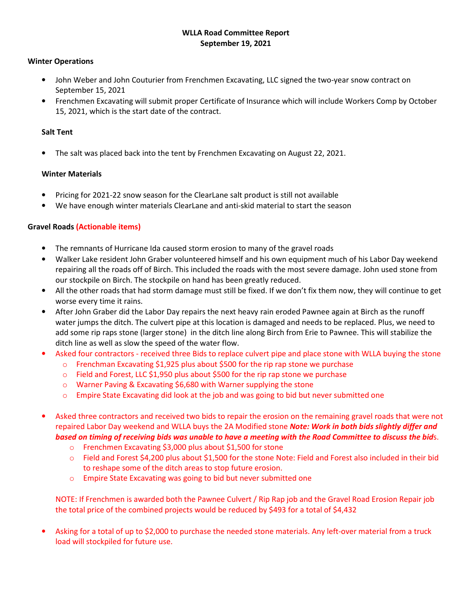# **WLLA Road Committee Report September 19, 2021**

### **Winter Operations**

- John Weber and John Couturier from Frenchmen Excavating, LLC signed the two-year snow contract on September 15, 2021
- Frenchmen Excavating will submit proper Certificate of Insurance which will include Workers Comp by October 15, 2021, which is the start date of the contract.

# **Salt Tent**

• The salt was placed back into the tent by Frenchmen Excavating on August 22, 2021.

# **Winter Materials**

- Pricing for 2021-22 snow season for the ClearLane salt product is still not available
- We have enough winter materials ClearLane and anti-skid material to start the season

# **Gravel Roads (Actionable items)**

- The remnants of Hurricane Ida caused storm erosion to many of the gravel roads
- Walker Lake resident John Graber volunteered himself and his own equipment much of his Labor Day weekend repairing all the roads off of Birch. This included the roads with the most severe damage. John used stone from our stockpile on Birch. The stockpile on hand has been greatly reduced.
- All the other roads that had storm damage must still be fixed. If we don't fix them now, they will continue to get worse every time it rains.
- After John Graber did the Labor Day repairs the next heavy rain eroded Pawnee again at Birch as the runoff water jumps the ditch. The culvert pipe at this location is damaged and needs to be replaced. Plus, we need to add some rip raps stone (larger stone) in the ditch line along Birch from Erie to Pawnee. This will stabilize the ditch line as well as slow the speed of the water flow.
- Asked four contractors received three Bids to replace culvert pipe and place stone with WLLA buying the stone
	- o Frenchman Excavating \$1,925 plus about \$500 for the rip rap stone we purchase
		- $\circ$  Field and Forest, LLC \$1,950 plus about \$500 for the rip rap stone we purchase
		- o Warner Paving & Excavating \$6,680 with Warner supplying the stone
		- o Empire State Excavating did look at the job and was going to bid but never submitted one
- Asked three contractors and received two bids to repair the erosion on the remaining gravel roads that were not repaired Labor Day weekend and WLLA buys the 2A Modified stone *Note: Work in both bids slightly differ and based on timing of receiving bids was unable to have a meeting with the Road Committee to discuss the bid*s.
	- o Frenchmen Excavating \$3,000 plus about \$1,500 for stone
	- o Field and Forest \$4,200 plus about \$1,500 for the stone Note: Field and Forest also included in their bid to reshape some of the ditch areas to stop future erosion.
	- o Empire State Excavating was going to bid but never submitted one

NOTE: If Frenchmen is awarded both the Pawnee Culvert / Rip Rap job and the Gravel Road Erosion Repair job the total price of the combined projects would be reduced by \$493 for a total of \$4,432

• Asking for a total of up to \$2,000 to purchase the needed stone materials. Any left-over material from a truck load will stockpiled for future use.